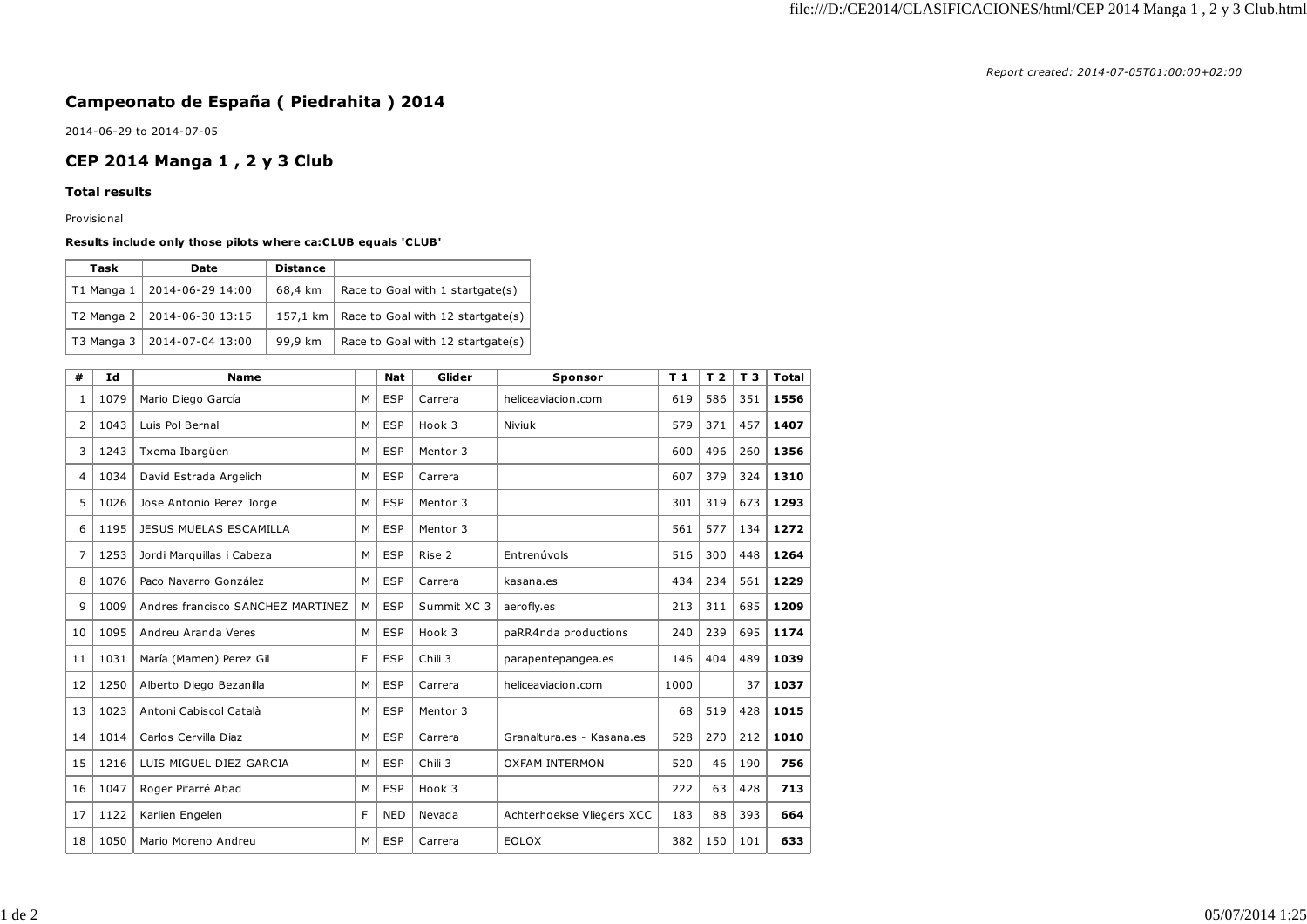*Report created: 2014-07-05T01:00:00+02:00*

## **Campeonato de España ( Piedrahita ) 2014**

2014-06-29 to 2014-07-05

## **CEP 2014 Manga 1 , 2 y 3 Club**

## **Total results**

Provisional

## **Results include only those pilots where ca:CLUB equals 'CLUB'**

| Task | Date                          | <b>Distance</b> |                                              |
|------|-------------------------------|-----------------|----------------------------------------------|
|      | T1 Manga 1   2014-06-29 14:00 | 68,4 km         | Race to Goal with 1 startgate(s)             |
|      | T2 Manga 2   2014-06-30 13:15 |                 | 157,1 km   Race to Goal with 12 startgate(s) |
|      | T3 Manga 3   2014-07-04 13:00 | 99,9 km         | Race to Goal with 12 startgate(s)            |

| #  | Id   | <b>Name</b>                       |   | <b>Nat</b> | Glider      | Sponsor                   | T <sub>1</sub> | T <sub>2</sub> | T <sub>3</sub> | Total |
|----|------|-----------------------------------|---|------------|-------------|---------------------------|----------------|----------------|----------------|-------|
| 1  | 1079 | Mario Diego García                | м | <b>ESP</b> | Carrera     | heliceaviacion.com        | 619            | 586            | 351            | 1556  |
| 2  | 1043 | Luis Pol Bernal                   | M | <b>ESP</b> | Hook 3      | Niviuk                    | 579            | 371            | 457            | 1407  |
| 3  | 1243 | Txema Ibargüen                    | M | <b>ESP</b> | Mentor 3    |                           | 600            | 496            | 260            | 1356  |
| 4  | 1034 | David Estrada Argelich            | M | <b>ESP</b> | Carrera     |                           | 607            | 379            | 324            | 1310  |
| 5  | 1026 | Jose Antonio Perez Jorge          | M | <b>ESP</b> | Mentor 3    |                           | 301            | 319            | 673            | 1293  |
| 6  | 1195 | JESUS MUELAS ESCAMILLA            | M | <b>ESP</b> | Mentor 3    |                           | 561            | 577            | 134            | 1272  |
| 7  | 1253 | Jordi Marquillas i Cabeza         | M | <b>ESP</b> | Rise 2      | Entrenúvols               | 516            | 300            | 448            | 1264  |
| 8  | 1076 | Paco Navarro González             | M | <b>ESP</b> | Carrera     | kasana.es                 | 434            | 234            | 561            | 1229  |
| 9  | 1009 | Andres francisco SANCHEZ MARTINEZ | M | <b>ESP</b> | Summit XC 3 | aerofly.es                | 213            | 311            | 685            | 1209  |
| 10 | 1095 | Andreu Aranda Veres               | M | <b>ESP</b> | Hook 3      | paRR4nda productions      | 240            | 239            | 695            | 1174  |
| 11 | 1031 | María (Mamen) Perez Gil           | F | <b>ESP</b> | Chili 3     | parapentepangea.es        | 146            | 404            | 489            | 1039  |
| 12 | 1250 | Alberto Diego Bezanilla           | M | <b>ESP</b> | Carrera     | heliceaviacion.com        | 1000           |                | 37             | 1037  |
| 13 | 1023 | Antoni Cabiscol Català            | M | <b>ESP</b> | Mentor 3    |                           | 68             | 519            | 428            | 1015  |
| 14 | 1014 | Carlos Cervilla Diaz              | M | <b>ESP</b> | Carrera     | Granaltura.es - Kasana.es | 528            | 270            | 212            | 1010  |
| 15 | 1216 | LUIS MIGUEL DIEZ GARCIA           | M | <b>ESP</b> | Chili 3     | <b>OXFAM INTERMON</b>     | 520            | 46             | 190            | 756   |
| 16 | 1047 | Roger Pifarré Abad                | M | <b>ESP</b> | Hook 3      |                           | 222            | 63             | 428            | 713   |
| 17 | 1122 | Karlien Engelen                   | F | <b>NED</b> | Nevada      | Achterhoekse Vliegers XCC | 183            | 88             | 393            | 664   |
| 18 | 1050 | Mario Moreno Andreu               | м | <b>ESP</b> | Carrera     | <b>EOLOX</b>              | 382            | 150            | 101            | 633   |